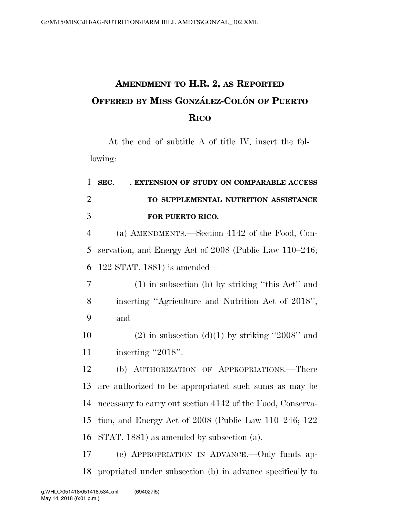## **AMENDMENT TO H.R. 2, AS REPORTED OFFERED BY MISS GONZA´ LEZ-COLO´ N OF PUERTO RICO**

At the end of subtitle A of title IV, insert the following:

| $\mathbf{1}$   | SEC. EXTENSION OF STUDY ON COMPARABLE ACCESS                 |
|----------------|--------------------------------------------------------------|
| $\overline{2}$ | TO SUPPLEMENTAL NUTRITION ASSISTANCE                         |
| 3              | FOR PUERTO RICO.                                             |
| $\overline{4}$ | (a) AMENDMENTS.—Section 4142 of the Food, Con-               |
| 5              | servation, and Energy Act of 2008 (Public Law 110–246;       |
| 6              | $122$ STAT. 1881) is amended—                                |
| 7              | $(1)$ in subsection (b) by striking "this Act" and           |
| 8              | inserting "Agriculture and Nutrition Act of 2018",           |
| 9              | and                                                          |
| 10             | $(2)$ in subsection $(d)(1)$ by striking "2008" and          |
| 11             | inserting "2018".                                            |
| 12             | (b) AUTHORIZATION OF APPROPRIATIONS.—There                   |
| 13             | are authorized to be appropriated such sums as may be        |
| 14             | necessary to carry out section 4142 of the Food, Conserva-   |
| 15             | tion, and Energy Act of $2008$ (Public Law $110-246$ ; $122$ |
| 16             | STAT. 1881) as amended by subsection (a).                    |
| 17             | (c) APPROPRIATION IN ADVANCE. - Only funds ap-               |
| 18             | propriated under subsection (b) in advance specifically to   |